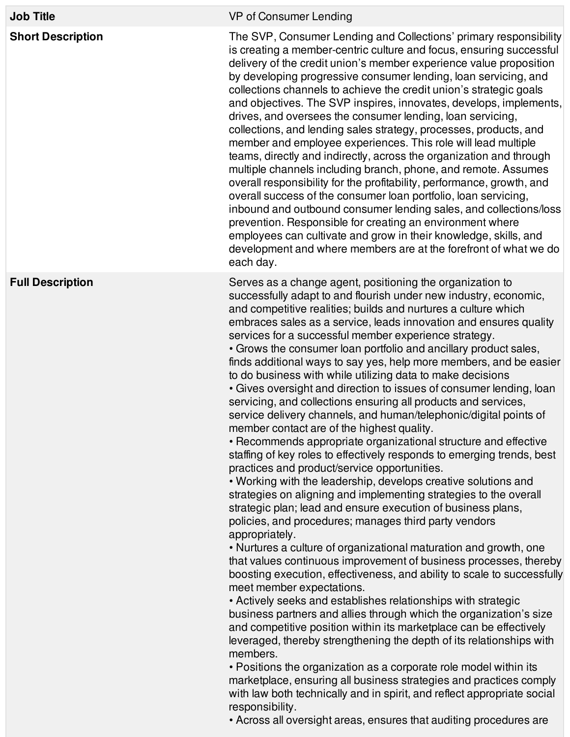| <b>Job Title</b>         | VP of Consumer Lending                                                                                                                                                                                                                                                                                                                                                                                                                                                                                                                                                                                                                                                                                                                                                                                                                                                                                                                                                                                                                                                                                                                                                                                                                                                                                                                                                                                                                                                                                                                                                                                                                                                                                                                                                                                                                                                                                                                                                                                                                                    |
|--------------------------|-----------------------------------------------------------------------------------------------------------------------------------------------------------------------------------------------------------------------------------------------------------------------------------------------------------------------------------------------------------------------------------------------------------------------------------------------------------------------------------------------------------------------------------------------------------------------------------------------------------------------------------------------------------------------------------------------------------------------------------------------------------------------------------------------------------------------------------------------------------------------------------------------------------------------------------------------------------------------------------------------------------------------------------------------------------------------------------------------------------------------------------------------------------------------------------------------------------------------------------------------------------------------------------------------------------------------------------------------------------------------------------------------------------------------------------------------------------------------------------------------------------------------------------------------------------------------------------------------------------------------------------------------------------------------------------------------------------------------------------------------------------------------------------------------------------------------------------------------------------------------------------------------------------------------------------------------------------------------------------------------------------------------------------------------------------|
| <b>Short Description</b> | The SVP, Consumer Lending and Collections' primary responsibility<br>is creating a member-centric culture and focus, ensuring successful<br>delivery of the credit union's member experience value proposition<br>by developing progressive consumer lending, loan servicing, and<br>collections channels to achieve the credit union's strategic goals<br>and objectives. The SVP inspires, innovates, develops, implements,<br>drives, and oversees the consumer lending, loan servicing,<br>collections, and lending sales strategy, processes, products, and<br>member and employee experiences. This role will lead multiple<br>teams, directly and indirectly, across the organization and through<br>multiple channels including branch, phone, and remote. Assumes<br>overall responsibility for the profitability, performance, growth, and<br>overall success of the consumer loan portfolio, loan servicing,<br>inbound and outbound consumer lending sales, and collections/loss<br>prevention. Responsible for creating an environment where<br>employees can cultivate and grow in their knowledge, skills, and<br>development and where members are at the forefront of what we do<br>each day.                                                                                                                                                                                                                                                                                                                                                                                                                                                                                                                                                                                                                                                                                                                                                                                                                                            |
| <b>Full Description</b>  | Serves as a change agent, positioning the organization to<br>successfully adapt to and flourish under new industry, economic,<br>and competitive realities; builds and nurtures a culture which<br>embraces sales as a service, leads innovation and ensures quality<br>services for a successful member experience strategy.<br>• Grows the consumer loan portfolio and ancillary product sales,<br>finds additional ways to say yes, help more members, and be easier<br>to do business with while utilizing data to make decisions<br>• Gives oversight and direction to issues of consumer lending, loan<br>servicing, and collections ensuring all products and services,<br>service delivery channels, and human/telephonic/digital points of<br>member contact are of the highest quality.<br>• Recommends appropriate organizational structure and effective<br>staffing of key roles to effectively responds to emerging trends, best<br>practices and product/service opportunities.<br>. Working with the leadership, develops creative solutions and<br>strategies on aligning and implementing strategies to the overall<br>strategic plan; lead and ensure execution of business plans,<br>policies, and procedures; manages third party vendors<br>appropriately.<br>• Nurtures a culture of organizational maturation and growth, one<br>that values continuous improvement of business processes, thereby<br>boosting execution, effectiveness, and ability to scale to successfully<br>meet member expectations.<br>• Actively seeks and establishes relationships with strategic<br>business partners and allies through which the organization's size<br>and competitive position within its marketplace can be effectively<br>leveraged, thereby strengthening the depth of its relationships with<br>members.<br>• Positions the organization as a corporate role model within its<br>marketplace, ensuring all business strategies and practices comply<br>with law both technically and in spirit, and reflect appropriate social |

responsibility.

• Across all oversight areas, ensures that auditing procedures are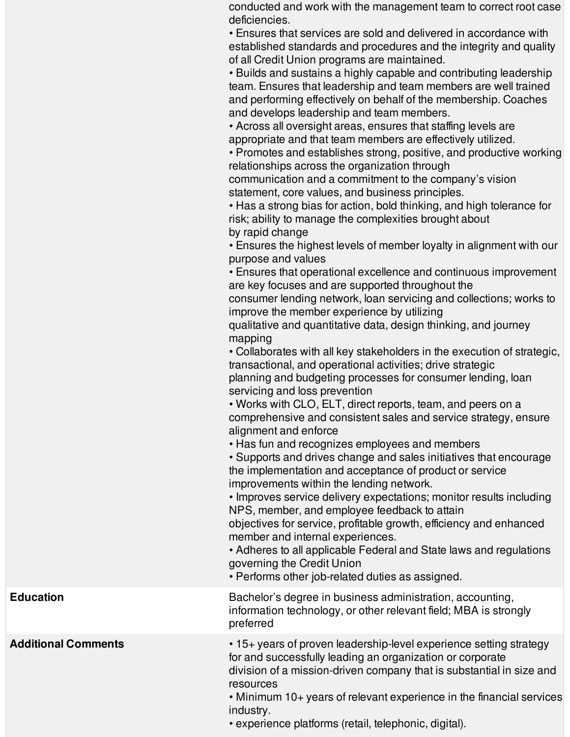conducted and work with the management team to correct root case deficiencies.

• Ensures that services are sold and delivered in accordance with established standards and procedures and the integrity and quality of all Credit Union programs are maintained.

• Builds and sustains a highly capable and contributing leadership team. Ensures that leadership and team members are well trained and performing effectively on behalf of the membership. Coaches and develops leadership and team members.

• Across all oversight areas, ensures that staffing levels are appropriate and that team members are effectively utilized.

• Promotes and establishes strong, positive, and productive working relationships across the organization through

communication and a commitment to the company's vision statement, core values, and business principles.

• Has a strong bias for action, bold thinking, and high tolerance for risk; ability to manage the complexities brought about by rapid change

• Ensures the highest levels of member loyalty in alignment with our purpose and values

• Ensures that operational excellence and continuous improvement are key focuses and are supported throughout the

consumer lending network, loan servicing and collections; works to improve the member experience by utilizing

qualitative and quantitative data, design thinking, and journey mapping

• Collaborates with all key stakeholders in the execution of strategic, transactional, and operational activities; drive strategic planning and budgeting processes for consumer lending, loan servicing and loss prevention

• Works with CLO, ELT, direct reports, team, and peers on a comprehensive and consistent sales and service strategy, ensure alignment and enforce

• Has fun and recognizes employees and members

• Supports and drives change and sales initiatives that encourage the implementation and acceptance of product or service improvements within the lending network.

• Improves service delivery expectations; monitor results including NPS, member, and employee feedback to attain

objectives for service, profitable growth, efficiency and enhanced member and internal experiences.

• Adheres to all applicable Federal and State laws and regulations governing the Credit Union

• Performs other job-related duties as assigned.

**Education** Bachelor's degree in business administration, accounting, information technology, or other relevant field; MBA is strongly preferred

**Additional Comments** • 15+ years of proven leadership-level experience setting strategy for and successfully leading an organization or corporate division of a mission-driven company that is substantial in size and resources

> • Minimum 10+ years of relevant experience in the financial services industry.

• experience platforms (retail, telephonic, digital).